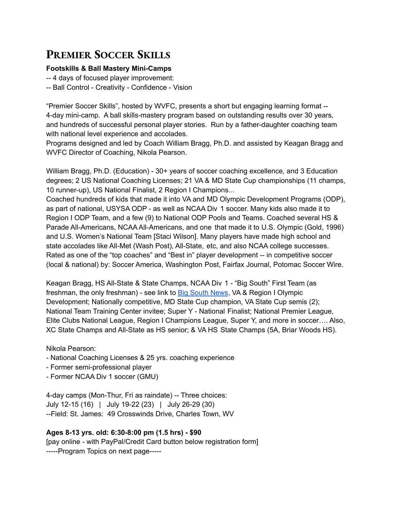# **PREMIER SOCCER SKILLS**

#### **Footskills & Ball Mastery Mini-Camps**

-- 4 days of focused player improvement:

-- Ball Control - Creativity - Confidence - Vision

"Premier Soccer Skills", hosted by WVFC, presents a short but engaging learning format -- 4-day mini-camp. A ball skills-mastery program based on outstanding results over 30 years, and hundreds of successful personal player stories. Run by a father-daughter coaching team with national level experience and accolades.

Programs designed and led by Coach William Bragg, Ph.D. and assisted by Keagan Bragg and WVFC Director of Coaching, Nikola Pearson.

William Bragg, Ph.D. (Education) - 30+ years of soccer coaching excellence, and 3 Education degrees; 2 US National Coaching Licenses; 21 VA & MD State Cup championships (11 champs, 10 runner-up), US National Finalist, 2 Region I Champions...

Coached hundreds of kids that made it into VA and MD Olympic Development Programs (ODP), as part of national, USYSA ODP - as well as NCAA Div 1 soccer. Many kids also made it to Region I ODP Team, and a few (9) to National ODP Pools and Teams. Coached several HS & Parade All-Americans, NCAA All-Americans, and one that made it to U.S. Olympic (Gold, 1996) and U.S. Women's National Team [Staci Wilson]. Many players have made high school and state accolades like All-Met (Wash Post), All-State, etc, and also NCAA college successes. Rated as one of the "top coaches" and "Best in" player development -- in competitive soccer (local & national) by: Soccer America, Washington Post, Fairfax Journal, Potomac Soccer Wire.

Keagan Bragg, HS All-State & State Champs, NCAA Div 1 - "Big South" First Team (as freshman, the only freshman) - see link to Big [South](https://bigsouthsports.com/news/2019/10/31/big-south-announces-2019-womens-soccer-annual-award-winners.aspx) News, VA & Region I Olympic Development; Nationally competitive, MD State Cup champion, VA State Cup semis (2); National Team Training Center invitee; Super Y - National Finalist; National Premier League, Elite Clubs National League, Region I Champions League, Super Y, and more in soccer…. Also, XC State Champs and All-State as HS senior; & VA HS State Champs (5A, Briar Woods HS).

Nikola Pearson:

- National Coaching Licenses & 25 yrs. coaching experience
- Former semi-professional player
- Former NCAA Div 1 soccer (GMU)

4-day camps (Mon-Thur, Fri as raindate) -- Three choices: July 12-15 (16) | July 19-22 (23) | July 26-29 (30) --Field: St. James: 49 Crosswinds Drive, Charles Town, WV

# **Ages 8-13 yrs. old: 6:30-8:00 pm (1.5 hrs) - \$90**

[pay online - with PayPal/Credit Card button below registration form] -----Program Topics on next page-----